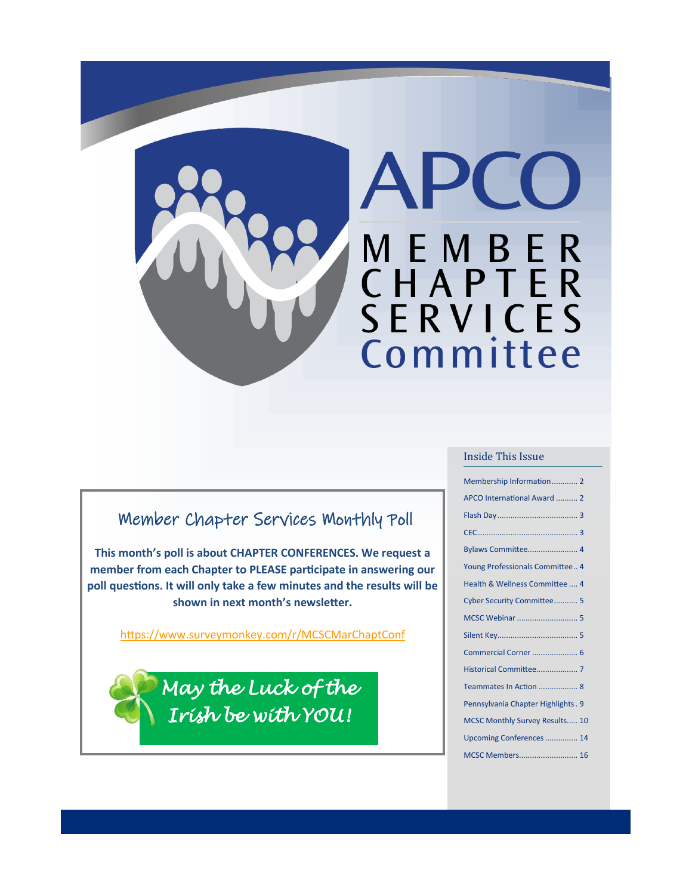

#### Member Chapter Services Monthly Poll

**This month's poll is about CHAPTER CONFERENCES. We request a member from each Chapter to PLEASE participate in answering our poll questions. It will only take a few minutes and the results will be shown in next month's newsletter.**

[https://www.surveymonkey.com/r/MCSCMarChaptConf](https://gcc02.safelinks.protection.outlook.com/?url=https%3A%2F%2Fwww.surveymonkey.com%2Fr%2FMCSCMarChaptConf&data=04%7C01%7Cmarysuer%40valleycom.org%7C9d88fce0476e49f6c62208d9f19aa166%7C49de97d60ba448d9b3a6fbc796bc1cff%7C1%7C0%7C637806468712916360%7CUnknown%)

*May the Luck of the Irish be with YOU!* 

#### Inside This Issue

| Membership Information 2            |  |
|-------------------------------------|--|
| APCO International Award  2         |  |
|                                     |  |
|                                     |  |
| Bylaws Committee 4                  |  |
| Young Professionals Committee 4     |  |
| Health & Wellness Committee  4      |  |
| Cyber Security Committee 5          |  |
|                                     |  |
|                                     |  |
| Commercial Corner  6                |  |
|                                     |  |
| Teammates In Action  8              |  |
| Pennsylvania Chapter Highlights . 9 |  |
| MCSC Monthly Survey Results 10      |  |
| Upcoming Conferences 14             |  |
| MCSC Members 16                     |  |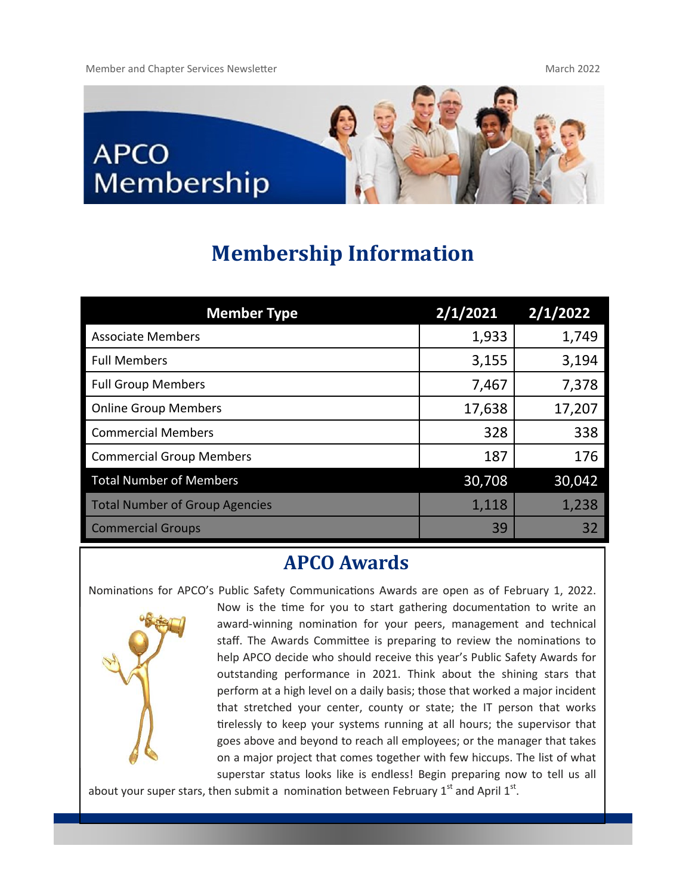

# **Membership Information**

| <b>Member Type</b>                    | 2/1/2021 | 2/1/2022 |
|---------------------------------------|----------|----------|
| <b>Associate Members</b>              | 1,933    | 1,749    |
| <b>Full Members</b>                   | 3,155    | 3,194    |
| <b>Full Group Members</b>             | 7,467    | 7,378    |
| <b>Online Group Members</b>           | 17,638   | 17,207   |
| <b>Commercial Members</b>             | 328      | 338      |
| <b>Commercial Group Members</b>       | 187      | 176      |
| <b>Total Number of Members</b>        | 30,708   | 30,042   |
| <b>Total Number of Group Agencies</b> | 1,118    | 1,238    |
| <b>Commercial Groups</b>              | 39       | 32       |

## **APCO Awards**

Nominations for APCO's Public Safety Communications Awards are open as of February 1, 2022.



Now is the time for you to start gathering documentation to write an award-winning nomination for your peers, management and technical staff. The Awards Committee is preparing to review the nominations to help APCO decide who should receive this year's Public Safety Awards for outstanding performance in 2021. Think about the shining stars that perform at a high level on a daily basis; those that worked a major incident that stretched your center, county or state; the IT person that works tirelessly to keep your systems running at all hours; the supervisor that goes above and beyond to reach all employees; or the manager that takes on a major project that comes together with few hiccups. The list of what superstar status looks like is endless! Begin preparing now to tell us all

about your super stars, then submit a nomination between February 1<sup>st</sup> and April 1<sup>st</sup>.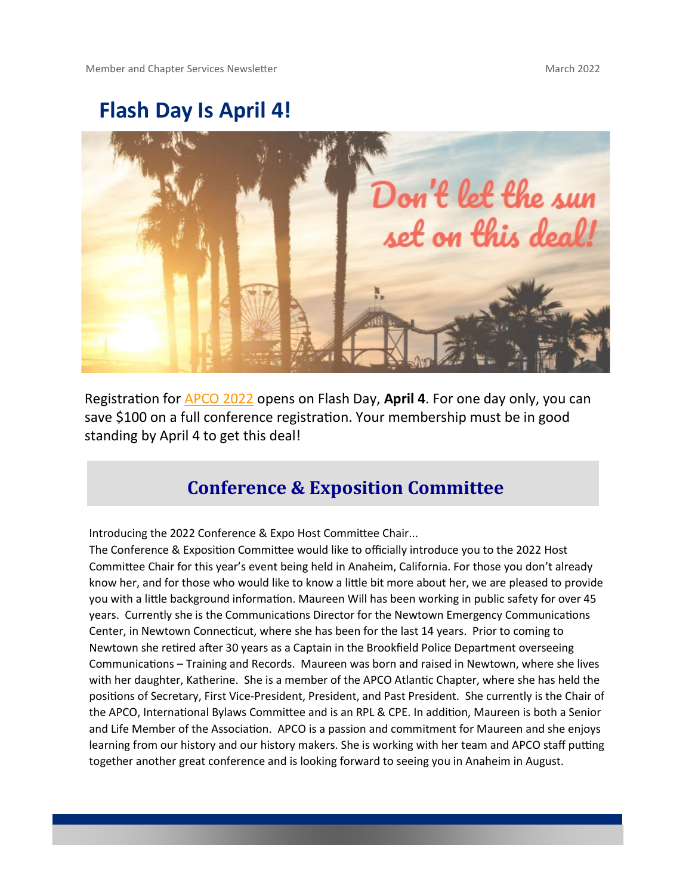# **Flash Day Is April 4!**



Registration for [APCO 2022 o](https://gcc02.safelinks.protection.outlook.com/?url=http%3A%2F%2Fwww.mmsend57.com%2Flink.cfm%3Fr%3DSP62lrsumAq8OOf1IrhaEA~~%26pe%3DYD4LeUWFo5fpzrHwfptViw295TAieZABSwNThY0dXCcVOjb-n4mTxdLyZf-mbP7iONzbV3vmXoctiDW7gp7dAw~~%26t%3DBShClvfnkKoshFtdWrJ1RA~~&data=04%)pens on Flash Day, **April 4**. For one day only, you can save \$100 on a full conference registration. Your membership must be in good standing by April 4 to get this deal!

#### **Conference & Exposition Committee**

Introducing the 2022 Conference & Expo Host Committee Chair...

The Conference & Exposition Committee would like to officially introduce you to the 2022 Host Committee Chair for this year's event being held in Anaheim, California. For those you don't already know her, and for those who would like to know a little bit more about her, we are pleased to provide you with a little background information. Maureen Will has been working in public safety for over 45 years. Currently she is the Communications Director for the Newtown Emergency Communications Center, in Newtown Connecticut, where she has been for the last 14 years. Prior to coming to Newtown she retired after 30 years as a Captain in the Brookfield Police Department overseeing Communications – Training and Records. Maureen was born and raised in Newtown, where she lives with her daughter, Katherine. She is a member of the APCO Atlantic Chapter, where she has held the positions of Secretary, First Vice-President, President, and Past President. She currently is the Chair of the APCO, International Bylaws Committee and is an RPL & CPE. In addition, Maureen is both a Senior and Life Member of the Association. APCO is a passion and commitment for Maureen and she enjoys learning from our history and our history makers. She is working with her team and APCO staff putting together another great conference and is looking forward to seeing you in Anaheim in August.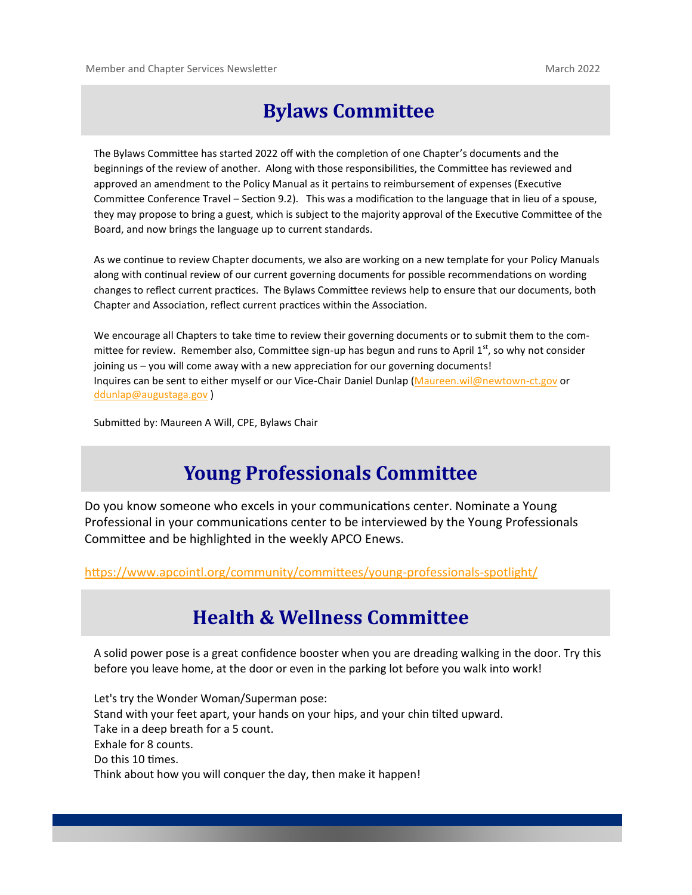# **Bylaws Committee**

The Bylaws Committee has started 2022 off with the completion of one Chapter's documents and the beginnings of the review of another. Along with those responsibilities, the Committee has reviewed and approved an amendment to the Policy Manual as it pertains to reimbursement of expenses (Executive Committee Conference Travel – Section 9.2). This was a modification to the language that in lieu of a spouse, they may propose to bring a guest, which is subject to the majority approval of the Executive Committee of the Board, and now brings the language up to current standards.

As we continue to review Chapter documents, we also are working on a new template for your Policy Manuals along with continual review of our current governing documents for possible recommendations on wording changes to reflect current practices. The Bylaws Committee reviews help to ensure that our documents, both Chapter and Association, reflect current practices within the Association.

We encourage all Chapters to take time to review their governing documents or to submit them to the committee for review. Remember also, Committee sign-up has begun and runs to April  $1<sup>st</sup>$ , so why not consider joining us – you will come away with a new appreciation for our governing documents! Inquires can be sent to either myself or our Vice-Chair Daniel Dunlap ([Maureen.wil@newtown](mailto:Maureen.wil@newtown-ct.gov)-ct.gov or [ddunlap@augustaga.gov](mailto:ddunlap@augustaga.gov) )

Submitted by: Maureen A Will, CPE, Bylaws Chair

# **Young Professionals Committee**

Do you know someone who excels in your communications center. Nominate a Young Professional in your communications center to be interviewed by the Young Professionals Committee and be highlighted in the weekly APCO Enews.

[https://www.apcointl.org/community/committees/young](https://gcc02.safelinks.protection.outlook.com/?url=https%3A%2F%2Fwww.apcointl.org%2Fcommunity%2Fcommittees%2Fyoung-professionals-spotlight%2F&data=04%7C01%7Cmarysuer%40valleycom.org%7C3bd933f320e045e399d208d9f0a1276e%7C49de97d60ba448d9b3a6fbc796bc1cff%7C1%7C)-professionals-spotlight/

#### **Health & Wellness Committee**

A solid power pose is a great confidence booster when you are dreading walking in the door. Try this before you leave home, at the door or even in the parking lot before you walk into work!

Let's try the Wonder Woman/Superman pose: Stand with your feet apart, your hands on your hips, and your chin tilted upward. Take in a deep breath for a 5 count. Exhale for 8 counts. Do this 10 times. Think about how you will conquer the day, then make it happen!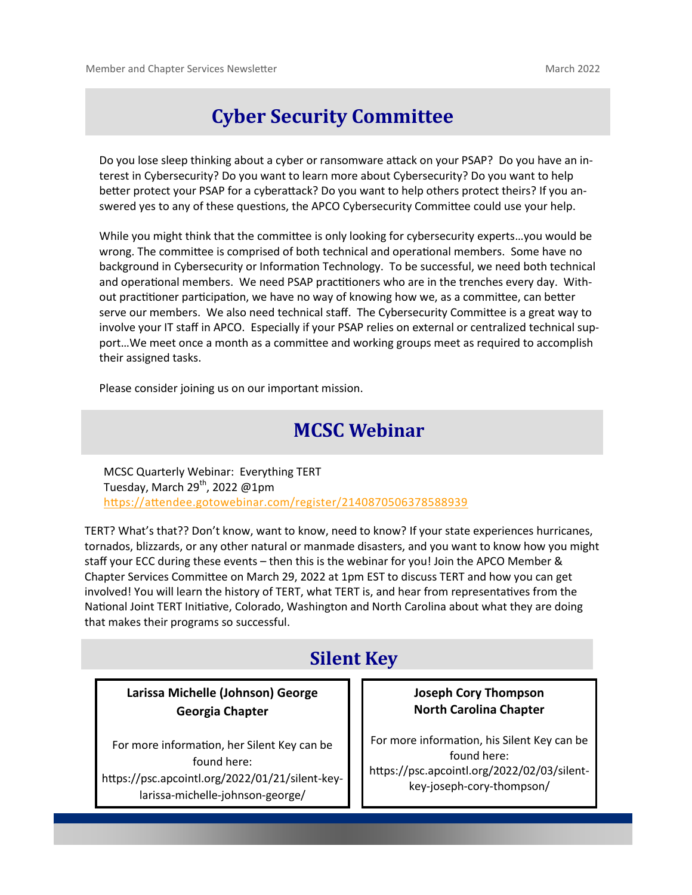# **Cyber Security Committee**

Do you lose sleep thinking about a cyber or ransomware attack on your PSAP? Do you have an interest in Cybersecurity? Do you want to learn more about Cybersecurity? Do you want to help better protect your PSAP for a cyberattack? Do you want to help others protect theirs? If you answered yes to any of these questions, the APCO Cybersecurity Committee could use your help.

While you might think that the committee is only looking for cybersecurity experts…you would be wrong. The committee is comprised of both technical and operational members. Some have no background in Cybersecurity or Information Technology. To be successful, we need both technical and operational members. We need PSAP practitioners who are in the trenches every day. Without practitioner participation, we have no way of knowing how we, as a committee, can better serve our members. We also need technical staff. The Cybersecurity Committee is a great way to involve your IT staff in APCO. Especially if your PSAP relies on external or centralized technical support…We meet once a month as a committee and working groups meet as required to accomplish their assigned tasks.

Please consider joining us on our important mission.

## **MCSC Webinar**

MCSC Quarterly Webinar: Everything TERT Tuesday, March 29<sup>th</sup>, 2022 @1pm <https://attendee.gotowebinar.com/register/2140870506378588939>

TERT? What's that?? Don't know, want to know, need to know? If your state experiences hurricanes, tornados, blizzards, or any other natural or manmade disasters, and you want to know how you might staff your ECC during these events – then this is the webinar for you! Join the APCO Member & Chapter Services Committee on March 29, 2022 at 1pm EST to discuss TERT and how you can get involved! You will learn the history of TERT, what TERT is, and hear from representatives from the National Joint TERT Initiative, Colorado, Washington and North Carolina about what they are doing that makes their programs so successful.

#### **Silent Key**

**Larissa Michelle (Johnson) George Georgia Chapter**

For more information, her Silent Key can be found here: https://psc.apcointl.org/2022/01/21/silent-keylarissa-michelle-johnson-george/

#### **Joseph Cory Thompson North Carolina Chapter**

For more information, his Silent Key can be found here: https://psc.apcointl.org/2022/02/03/silentkey-joseph-cory-thompson/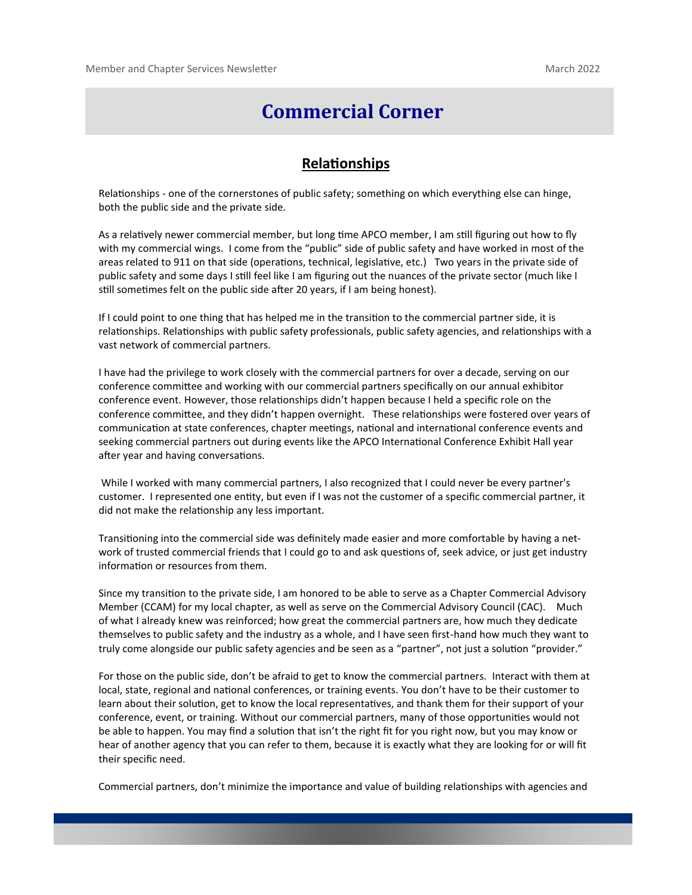### **Commercial Corner**

#### **Relationships**

Relationships - one of the cornerstones of public safety; something on which everything else can hinge, both the public side and the private side.

As a relatively newer commercial member, but long time APCO member, I am still figuring out how to fly with my commercial wings. I come from the "public" side of public safety and have worked in most of the areas related to 911 on that side (operations, technical, legislative, etc.) Two years in the private side of public safety and some days I still feel like I am figuring out the nuances of the private sector (much like I still sometimes felt on the public side after 20 years, if I am being honest).

If I could point to one thing that has helped me in the transition to the commercial partner side, it is relationships. Relationships with public safety professionals, public safety agencies, and relationships with a vast network of commercial partners.

I have had the privilege to work closely with the commercial partners for over a decade, serving on our conference committee and working with our commercial partners specifically on our annual exhibitor conference event. However, those relationships didn't happen because I held a specific role on the conference committee, and they didn't happen overnight. These relationships were fostered over years of communication at state conferences, chapter meetings, national and international conference events and seeking commercial partners out during events like the APCO International Conference Exhibit Hall year after year and having conversations.

 While I worked with many commercial partners, I also recognized that I could never be every partner's customer. I represented one entity, but even if I was not the customer of a specific commercial partner, it did not make the relationship any less important.

Transitioning into the commercial side was definitely made easier and more comfortable by having a network of trusted commercial friends that I could go to and ask questions of, seek advice, or just get industry information or resources from them.

Since my transition to the private side, I am honored to be able to serve as a Chapter Commercial Advisory Member (CCAM) for my local chapter, as well as serve on the Commercial Advisory Council (CAC). Much of what I already knew was reinforced; how great the commercial partners are, how much they dedicate themselves to public safety and the industry as a whole, and I have seen first-hand how much they want to truly come alongside our public safety agencies and be seen as a "partner", not just a solution "provider."

For those on the public side, don't be afraid to get to know the commercial partners. Interact with them at local, state, regional and national conferences, or training events. You don't have to be their customer to learn about their solution, get to know the local representatives, and thank them for their support of your conference, event, or training. Without our commercial partners, many of those opportunities would not be able to happen. You may find a solution that isn't the right fit for you right now, but you may know or hear of another agency that you can refer to them, because it is exactly what they are looking for or will fit their specific need.

Commercial partners, don't minimize the importance and value of building relationships with agencies and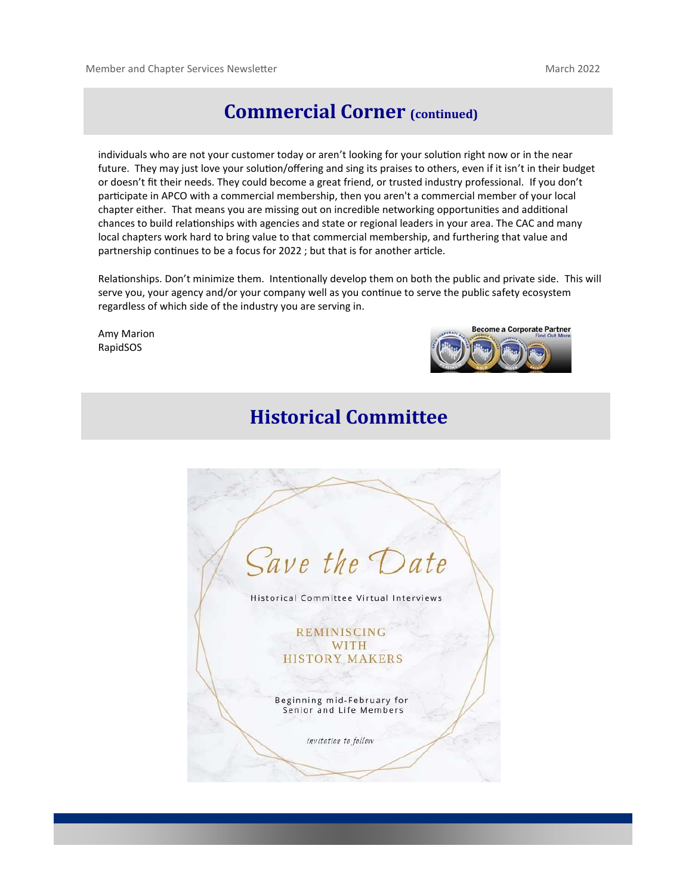#### **Commercial Corner (continued)**

individuals who are not your customer today or aren't looking for your solution right now or in the near future. They may just love your solution/offering and sing its praises to others, even if it isn't in their budget or doesn't fit their needs. They could become a great friend, or trusted industry professional. If you don't participate in APCO with a commercial membership, then you aren't a commercial member of your local chapter either. That means you are missing out on incredible networking opportunities and additional chances to build relationships with agencies and state or regional leaders in your area. The CAC and many local chapters work hard to bring value to that commercial membership, and furthering that value and partnership continues to be a focus for 2022 ; but that is for another article.

Relationships. Don't minimize them. Intentionally develop them on both the public and private side. This will serve you, your agency and/or your company well as you continue to serve the public safety ecosystem regardless of which side of the industry you are serving in.

Amy Marion RapidSOS



# **Historical Committee**

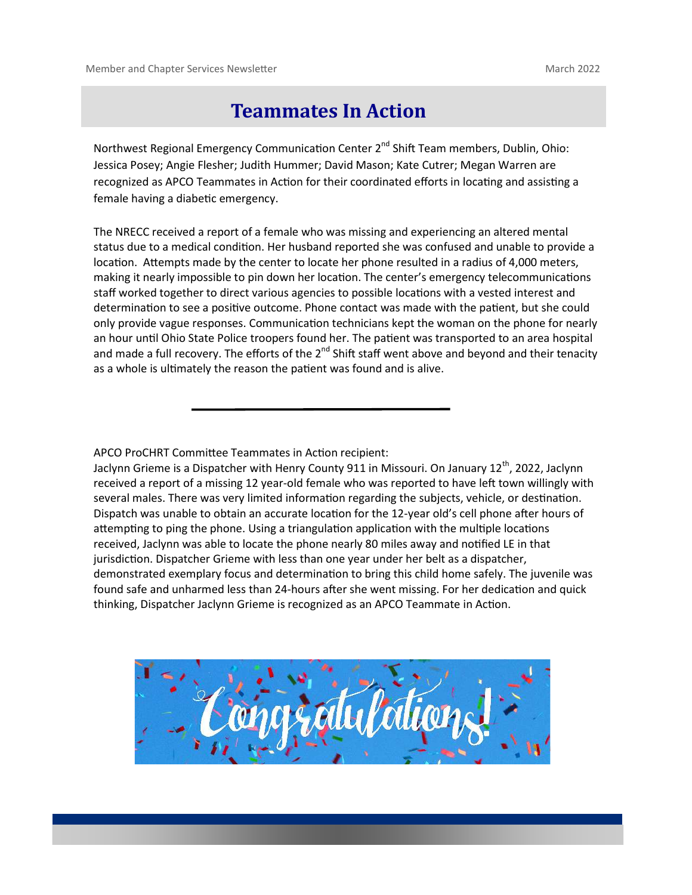#### **Teammates In Action**

Northwest Regional Emergency Communication Center  $2^{nd}$  Shift Team members, Dublin, Ohio: Jessica Posey; Angie Flesher; Judith Hummer; David Mason; Kate Cutrer; Megan Warren are recognized as APCO Teammates in Action for their coordinated efforts in locating and assisting a female having a diabetic emergency.

The NRECC received a report of a female who was missing and experiencing an altered mental status due to a medical condition. Her husband reported she was confused and unable to provide a location. Attempts made by the center to locate her phone resulted in a radius of 4,000 meters, making it nearly impossible to pin down her location. The center's emergency telecommunications staff worked together to direct various agencies to possible locations with a vested interest and determination to see a positive outcome. Phone contact was made with the patient, but she could only provide vague responses. Communication technicians kept the woman on the phone for nearly an hour until Ohio State Police troopers found her. The patient was transported to an area hospital and made a full recovery. The efforts of the  $2^{nd}$  Shift staff went above and beyond and their tenacity as a whole is ultimately the reason the patient was found and is alive.

APCO ProCHRT Committee Teammates in Action recipient:

Jaclynn Grieme is a Dispatcher with Henry County 911 in Missouri. On January 12<sup>th</sup>, 2022, Jaclynn received a report of a missing 12 year-old female who was reported to have left town willingly with several males. There was very limited information regarding the subjects, vehicle, or destination. Dispatch was unable to obtain an accurate location for the 12-year old's cell phone after hours of attempting to ping the phone. Using a triangulation application with the multiple locations received, Jaclynn was able to locate the phone nearly 80 miles away and notified LE in that jurisdiction. Dispatcher Grieme with less than one year under her belt as a dispatcher, demonstrated exemplary focus and determination to bring this child home safely. The juvenile was found safe and unharmed less than 24-hours after she went missing. For her dedication and quick thinking, Dispatcher Jaclynn Grieme is recognized as an APCO Teammate in Action.

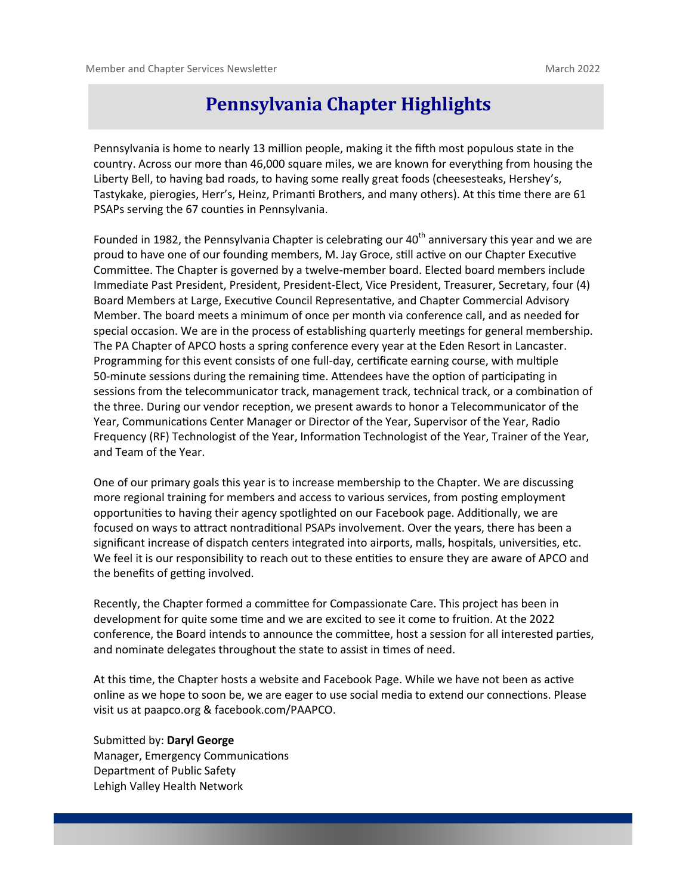#### **Pennsylvania Chapter Highlights**

Pennsylvania is home to nearly 13 million people, making it the fifth most populous state in the country. Across our more than 46,000 square miles, we are known for everything from housing the Liberty Bell, to having bad roads, to having some really great foods (cheesesteaks, Hershey's, Tastykake, pierogies, Herr's, Heinz, Primanti Brothers, and many others). At this time there are 61 PSAPs serving the 67 counties in Pennsylvania.

Founded in 1982, the Pennsylvania Chapter is celebrating our  $40<sup>th</sup>$  anniversary this year and we are proud to have one of our founding members, M. Jay Groce, still active on our Chapter Executive Committee. The Chapter is governed by a twelve-member board. Elected board members include Immediate Past President, President, President-Elect, Vice President, Treasurer, Secretary, four (4) Board Members at Large, Executive Council Representative, and Chapter Commercial Advisory Member. The board meets a minimum of once per month via conference call, and as needed for special occasion. We are in the process of establishing quarterly meetings for general membership. The PA Chapter of APCO hosts a spring conference every year at the Eden Resort in Lancaster. Programming for this event consists of one full-day, certificate earning course, with multiple 50-minute sessions during the remaining time. Attendees have the option of participating in sessions from the telecommunicator track, management track, technical track, or a combination of the three. During our vendor reception, we present awards to honor a Telecommunicator of the Year, Communications Center Manager or Director of the Year, Supervisor of the Year, Radio Frequency (RF) Technologist of the Year, Information Technologist of the Year, Trainer of the Year, and Team of the Year.

One of our primary goals this year is to increase membership to the Chapter. We are discussing more regional training for members and access to various services, from posting employment opportunities to having their agency spotlighted on our Facebook page. Additionally, we are focused on ways to attract nontraditional PSAPs involvement. Over the years, there has been a significant increase of dispatch centers integrated into airports, malls, hospitals, universities, etc. We feel it is our responsibility to reach out to these entities to ensure they are aware of APCO and the benefits of getting involved.

Recently, the Chapter formed a committee for Compassionate Care. This project has been in development for quite some time and we are excited to see it come to fruition. At the 2022 conference, the Board intends to announce the committee, host a session for all interested parties, and nominate delegates throughout the state to assist in times of need.

At this time, the Chapter hosts a website and Facebook Page. While we have not been as active online as we hope to soon be, we are eager to use social media to extend our connections. Please visit us at paapco.org & facebook.com/PAAPCO.

Submitted by: **Daryl George** Manager, Emergency Communications Department of Public Safety Lehigh Valley Health Network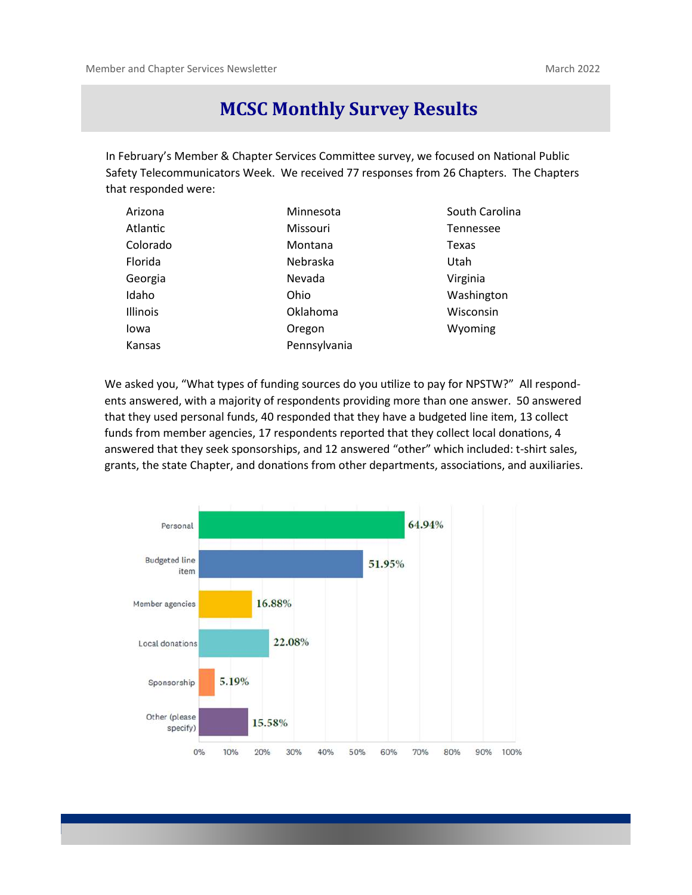#### **MCSC Monthly Survey Results**

In February's Member & Chapter Services Committee survey, we focused on National Public Safety Telecommunicators Week. We received 77 responses from 26 Chapters. The Chapters that responded were:

| Arizona  | Minnesota    | South Carolina |
|----------|--------------|----------------|
| Atlantic | Missouri     | Tennessee      |
| Colorado | Montana      | Texas          |
| Florida  | Nebraska     | Utah           |
| Georgia  | Nevada       | Virginia       |
| Idaho    | Ohio         | Washington     |
| Illinois | Oklahoma     | Wisconsin      |
| Iowa     | Oregon       | Wyoming        |
| Kansas   | Pennsylvania |                |

We asked you, "What types of funding sources do you utilize to pay for NPSTW?" All respondents answered, with a majority of respondents providing more than one answer. 50 answered that they used personal funds, 40 responded that they have a budgeted line item, 13 collect funds from member agencies, 17 respondents reported that they collect local donations, 4 answered that they seek sponsorships, and 12 answered "other" which included: t-shirt sales, grants, the state Chapter, and donations from other departments, associations, and auxiliaries.

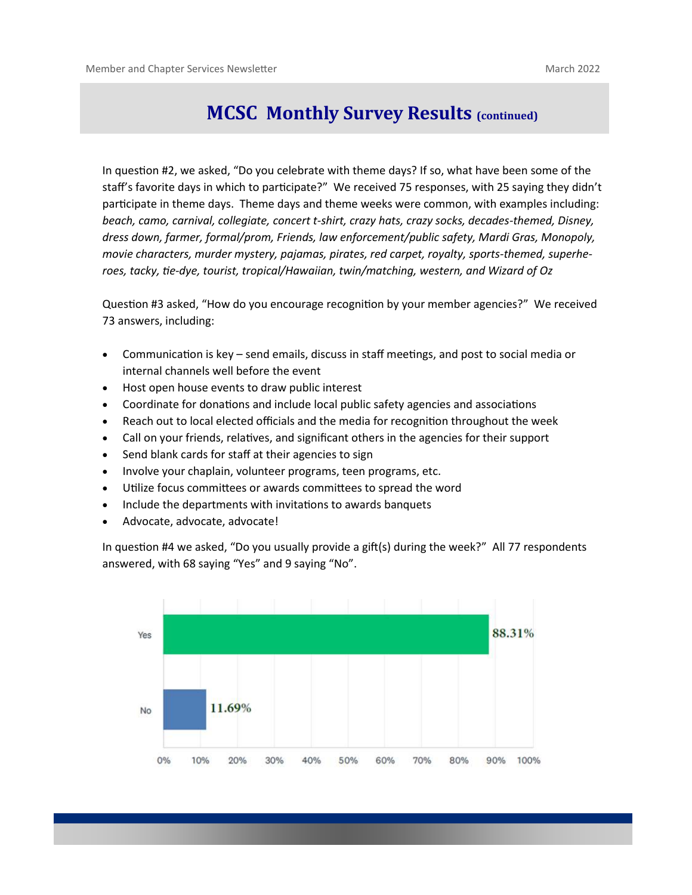#### **MCSC Monthly Survey Results (continued)**

In question #2, we asked, "Do you celebrate with theme days? If so, what have been some of the staff's favorite days in which to participate?" We received 75 responses, with 25 saying they didn't participate in theme days. Theme days and theme weeks were common, with examples including: *beach, camo, carnival, collegiate, concert t-shirt, crazy hats, crazy socks, decades-themed, Disney, dress down, farmer, formal/prom, Friends, law enforcement/public safety, Mardi Gras, Monopoly, movie characters, murder mystery, pajamas, pirates, red carpet, royalty, sports-themed, superheroes, tacky, tie-dye, tourist, tropical/Hawaiian, twin/matching, western, and Wizard of Oz*

Question #3 asked, "How do you encourage recognition by your member agencies?" We received 73 answers, including:

- Communication is key send emails, discuss in staff meetings, and post to social media or internal channels well before the event
- Host open house events to draw public interest
- Coordinate for donations and include local public safety agencies and associations
- Reach out to local elected officials and the media for recognition throughout the week
- Call on your friends, relatives, and significant others in the agencies for their support
- Send blank cards for staff at their agencies to sign
- Involve your chaplain, volunteer programs, teen programs, etc.
- Utilize focus committees or awards committees to spread the word
- Include the departments with invitations to awards banquets
- Advocate, advocate, advocate!

In question #4 we asked, "Do you usually provide a gift(s) during the week?" All 77 respondents answered, with 68 saying "Yes" and 9 saying "No".

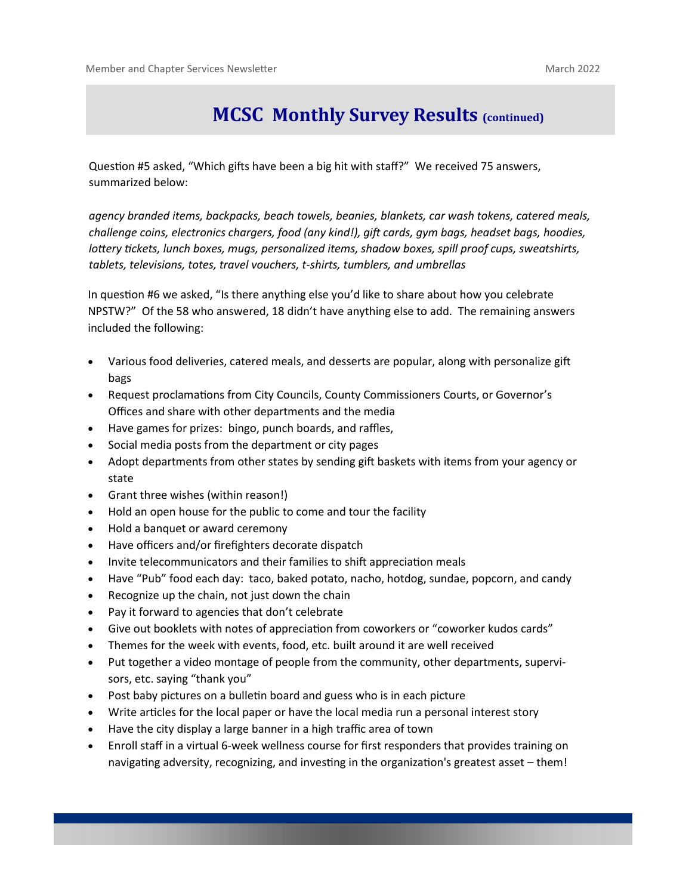## **MCSC Monthly Survey Results (continued)**

Question #5 asked, "Which gifts have been a big hit with staff?" We received 75 answers, summarized below:

*agency branded items, backpacks, beach towels, beanies, blankets, car wash tokens, catered meals, challenge coins, electronics chargers, food (any kind!), gift cards, gym bags, headset bags, hoodies, lottery tickets, lunch boxes, mugs, personalized items, shadow boxes, spill proof cups, sweatshirts, tablets, televisions, totes, travel vouchers, t-shirts, tumblers, and umbrellas*

In question #6 we asked, "Is there anything else you'd like to share about how you celebrate NPSTW?" Of the 58 who answered, 18 didn't have anything else to add. The remaining answers included the following:

- Various food deliveries, catered meals, and desserts are popular, along with personalize gift bags
- Request proclamations from City Councils, County Commissioners Courts, or Governor's Offices and share with other departments and the media
- Have games for prizes: bingo, punch boards, and raffles,
- Social media posts from the department or city pages
- Adopt departments from other states by sending gift baskets with items from your agency or state
- Grant three wishes (within reason!)
- Hold an open house for the public to come and tour the facility
- Hold a banquet or award ceremony
- Have officers and/or firefighters decorate dispatch
- Invite telecommunicators and their families to shift appreciation meals
- Have "Pub" food each day: taco, baked potato, nacho, hotdog, sundae, popcorn, and candy
- Recognize up the chain, not just down the chain
- Pay it forward to agencies that don't celebrate
- Give out booklets with notes of appreciation from coworkers or "coworker kudos cards"
- Themes for the week with events, food, etc. built around it are well received
- Put together a video montage of people from the community, other departments, supervisors, etc. saying "thank you"
- Post baby pictures on a bulletin board and guess who is in each picture
- Write articles for the local paper or have the local media run a personal interest story
- Have the city display a large banner in a high traffic area of town
- Enroll staff in a virtual 6-week wellness course for first responders that provides training on navigating adversity, recognizing, and investing in the organization's greatest asset – them!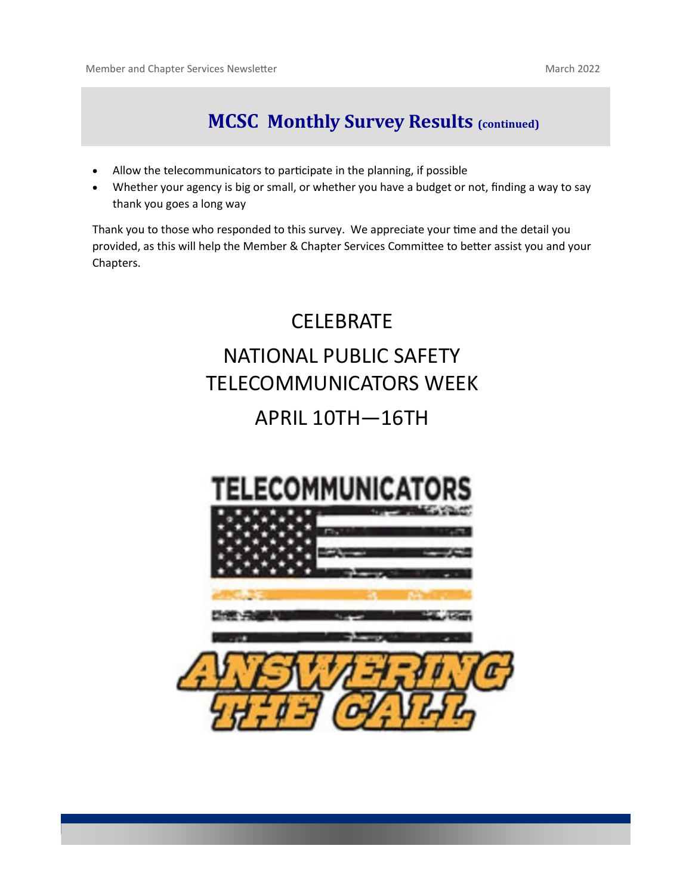# **MCSC Monthly Survey Results (continued)**

- Allow the telecommunicators to participate in the planning, if possible
- Whether your agency is big or small, or whether you have a budget or not, finding a way to say thank you goes a long way

Thank you to those who responded to this survey. We appreciate your time and the detail you provided, as this will help the Member & Chapter Services Committee to better assist you and your Chapters.

# **CELEBRATE** NATIONAL PUBLIC SAFETY TELECOMMUNICATORS WEEK

# APRIL 10TH—16TH

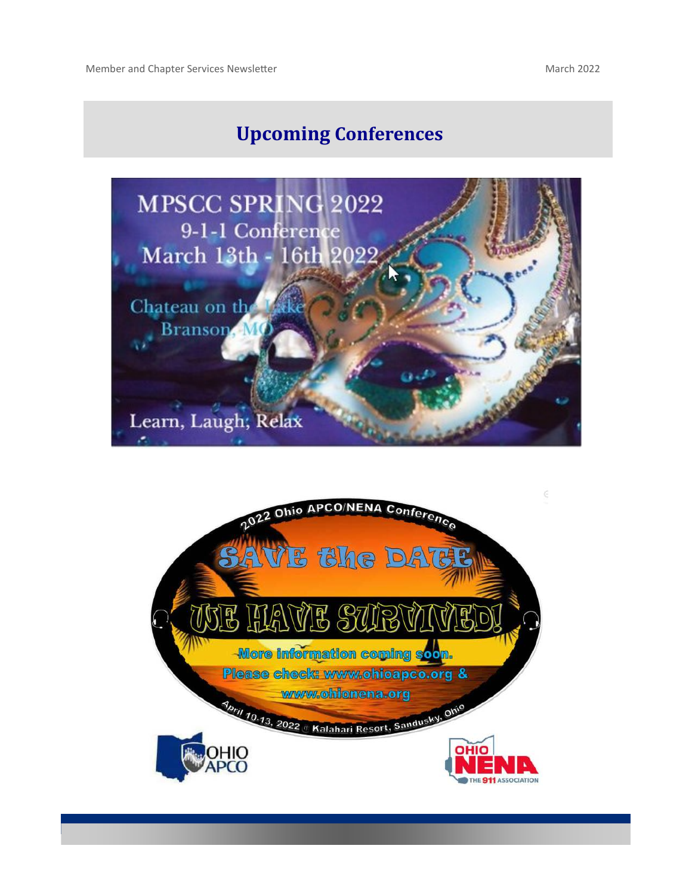# **Upcoming Conferences**



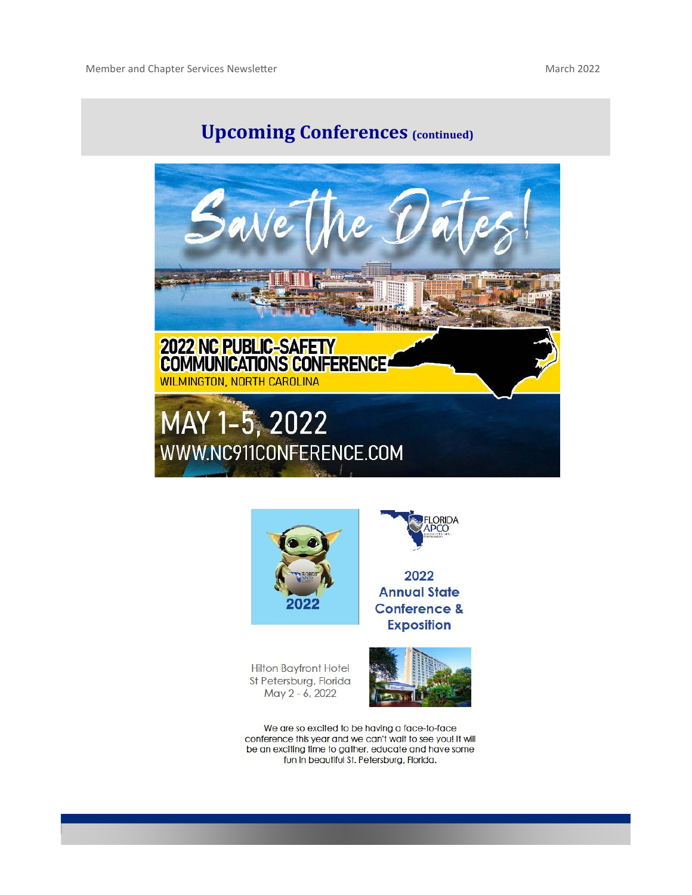# **Upcoming Conferences (continued)**





2022 **Annual State** 

**LORIDA** 

**Conference & Exposition** 

Hilton Bayfront Hotel St Petersburg, Florida May 2 - 6, 2022



We are so excited to be having a face-to-face conference this year and we can't wait to see you! It will be an exciting time to gather, educate and have some fun in beautiful St. Petersburg, Florida.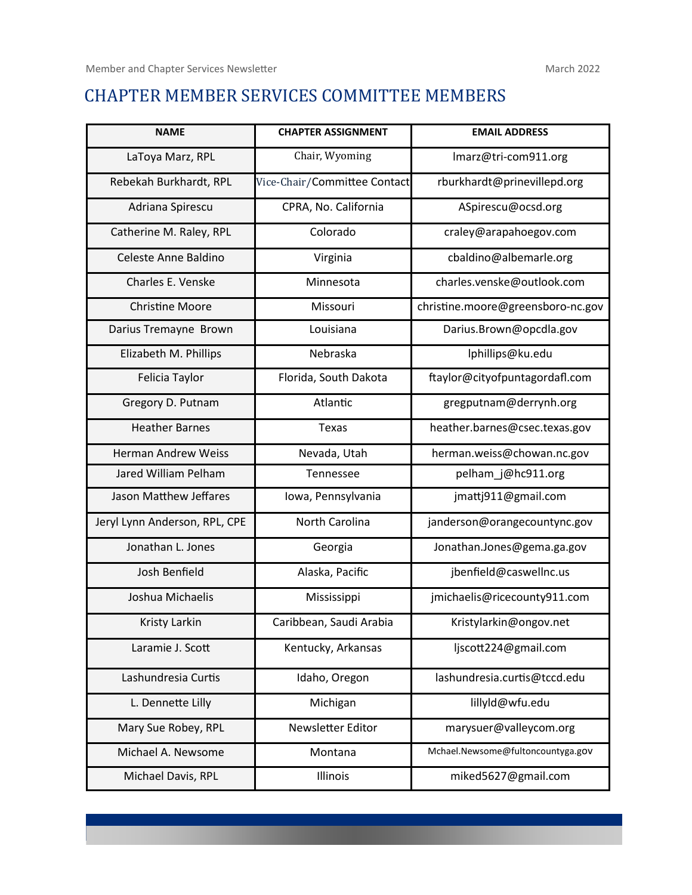#### CHAPTER MEMBER SERVICES COMMITTEE MEMBERS

| <b>NAME</b>                   | <b>CHAPTER ASSIGNMENT</b>    | <b>EMAIL ADDRESS</b>              |
|-------------------------------|------------------------------|-----------------------------------|
| LaToya Marz, RPL              | Chair, Wyoming               | Imarz@tri-com911.org              |
| Rebekah Burkhardt, RPL        | Vice-Chair/Committee Contact | rburkhardt@prinevillepd.org       |
| Adriana Spirescu              | CPRA, No. California         | ASpirescu@ocsd.org                |
| Catherine M. Raley, RPL       | Colorado                     | craley@arapahoegov.com            |
| Celeste Anne Baldino          | Virginia                     | cbaldino@albemarle.org            |
| Charles E. Venske             | Minnesota                    | charles.venske@outlook.com        |
| <b>Christine Moore</b>        | Missouri                     | christine.moore@greensboro-nc.gov |
| Darius Tremayne Brown         | Louisiana                    | Darius.Brown@opcdla.gov           |
| Elizabeth M. Phillips         | Nebraska                     | lphillips@ku.edu                  |
| Felicia Taylor                | Florida, South Dakota        | ftaylor@cityofpuntagordafl.com    |
| Gregory D. Putnam             | Atlantic                     | gregputnam@derrynh.org            |
| <b>Heather Barnes</b>         | Texas                        | heather.barnes@csec.texas.gov     |
| <b>Herman Andrew Weiss</b>    | Nevada, Utah                 | herman.weiss@chowan.nc.gov        |
| Jared William Pelham          | Tennessee                    | pelham_j@hc911.org                |
| Jason Matthew Jeffares        | Iowa, Pennsylvania           | jmattj911@gmail.com               |
| Jeryl Lynn Anderson, RPL, CPE | North Carolina               | janderson@orangecountync.gov      |
| Jonathan L. Jones             | Georgia                      | Jonathan.Jones@gema.ga.gov        |
| Josh Benfield                 | Alaska, Pacific              | jbenfield@caswellnc.us            |
| Joshua Michaelis              | Mississippi                  | jmichaelis@ricecounty911.com      |
| Kristy Larkin                 | Caribbean, Saudi Arabia      | Kristylarkin@ongov.net            |
| Laramie J. Scott              | Kentucky, Arkansas           | ljscott224@gmail.com              |
| Lashundresia Curtis           | Idaho, Oregon                | lashundresia.curtis@tccd.edu      |
| L. Dennette Lilly             | Michigan                     | lillyld@wfu.edu                   |
| Mary Sue Robey, RPL           | Newsletter Editor            | marysuer@valleycom.org            |
| Michael A. Newsome            | Montana                      | Mchael.Newsome@fultoncountyga.gov |
| Michael Davis, RPL            | Illinois                     | miked5627@gmail.com               |